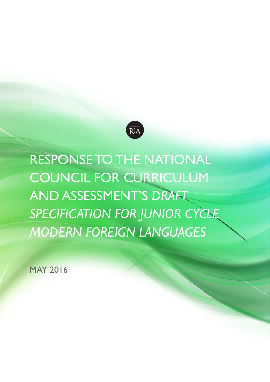

RESPONSE TO THE NATIONAL COUNCIL FOR CURRICULUM AND ASSESSMENT'S *DRAFT SPECIFICATION FOR JUNIOR CYCLE MODERN FOREIGN LANGUAGES*

MAY 2016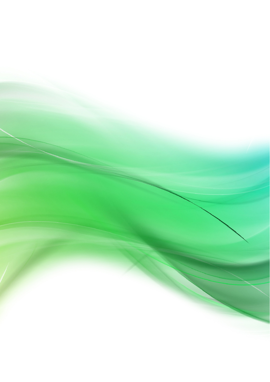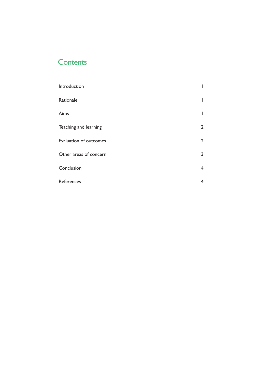# **Contents**

| Introduction           |                |
|------------------------|----------------|
| Rationale              |                |
| Aims                   | ı              |
| Teaching and learning  | $\overline{2}$ |
| Evaluation of outcomes | $\overline{2}$ |
| Other areas of concern | 3              |
| Conclusion             | 4              |
| References             | 4              |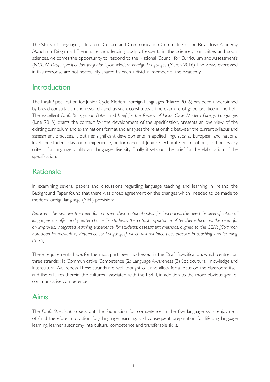The Study of Languages, Literature, Culture and Communication Committee of the Royal Irish Academy /Acadamh Ríoga na hÉireann, Ireland's leading body of experts in the sciences, humanities and social sciences, welcomes the opportunity to respond to the National Council for Curriculum and Assessment's (NCCA) *Draft Specification for Junior Cycle Modern Foreign Languages* (March 2016). The views expressed in this response are not necessarily shared by each individual member of the Academy.

#### **Introduction**

The Draft Specification for Junior Cycle Modern Foreign Languages (March 2016) has been underpinned by broad consultation and research, and, as such, constitutes a fine example of good practice in the field. The excellent *Draft Background Paper* and *Brief for the Review of Junior Cycle Modern Foreign Languages*  (June 2015) charts the context for the development of the specification, presents an overview of the existing curriculum and examinations format and analyses the relationship between the current syllabus and assessment practices. It outlines significant developments in applied linguistics at European and national level, the student classroom experience, performance at Junior Certificate examinations, and necessary criteria for language vitality and language diversity. Finally, it sets out the brief for the elaboration of the specification.

### **Rationale**

In examining several papers and discussions regarding language teaching and learning in Ireland, the Background Paper found that there was broad agreement on the changes which needed to be made to modern foreign language (MFL) provision:

*Recurrent themes are: the need for an overarching national policy for languages; the need for diversification of*  languages on offer and greater choice for students; the critical importance of teacher education; the need for *an improved, integrated learning experience for students; assessment methods, aligned to the CEFR [Common European Framework of Reference for Languages], which will reinforce best practice in teaching and learning. (p. 35)*

These requirements have, for the most part, been addressed in the Draft Specification, which centres on three strands: (1) Communicative Competence (2) Language Awareness (3) Sociocultural Knowledge and Intercultural Awareness. These strands are well thought out and allow for a focus on the classroom itself and the cultures therein, the cultures associated with the L3/L4, in addition to the more obvious goal of communicative competence.

#### Aims

The *Draft Specification* sets out the foundation for competence in the five language skills, enjoyment of (and therefore motivation for) language learning, and consequent preparation for lifelong language learning, learner autonomy, intercultural competence and transferable skills.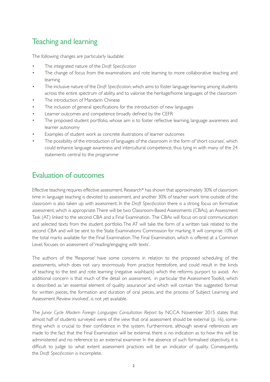# Teaching and learning

The following changes are particularly laudable:

- The integrated nature of the *Draft Specification*
- The change of focus from the examinations and rote learning to more collaborative teaching and learning
- The inclusive nature of the *Draft Specification*, which aims to foster language learning among students across the entire spectrum of ability, and to valorise the heritage/home languages of the classroom
- The introduction of Mandarin Chinese
- The inclusion of general specifications for the introduction of new languages
- Learner outcomes and competence broadly defined by the CEFR
- The proposed student portfolio, whose aim is to foster reflective learning, language awareness and learner autonomy
- Examples of student work as concrete illustrations of learner outcomes
- The possibility of the introduction of languages of the classroom in the form of 'short courses', which could enhance language awareness and intercultural competence, thus tying in with many of the 24 statements central to the programme

# Evaluation of outcomes

Effective teaching requires effective assessment. Research\* has shown that approximately 30% of classroom time in language teaching is devoted to assessment, and another 30% of teacher work time outside of the classroom is also taken up with assessment. In the *Draft Specification* there is a strong focus on formative assessment, which is appropriate. There will be two Classroom-Based Assessments (CBAs), an Assessment Task (AT) linked to the second CBA and a Final Examination. The CBAs will focus on oral communication and selected texts from the student portfolio. The AT will take the form of a written task related to the second CBA and will be sent to the State Examinations Commission for marking. It will comprise 10% of the total marks available for the Final Examination. The Final Examination, which is offered at a Common Level, focuses on assessment of 'reading/engaging with texts'.

The authors of the 'Response' have some concerns in relation to the proposed scheduling of the assessments, which does not vary enormously from practice heretofore, and could result in the kinds of teaching to the test and rote learning (negative washback) which the reforms purport to avoid. An additional concern is that much of the detail on assessment, in particular the Assessment Toolkit, which is described as 'an essential element of quality assurance' and which will contain 'the suggested format for written pieces, the formation and duration of oral pieces, and the process of Subject Learning and Assessment Review involved', is not yet available.

The *Junior Cycle Modern Foreign Languages Consultation Report* by NCCA November 2015 states that almost half of students surveyed were of the view that oral assessment should be external (p. 16), something which is crucial to their confidence in the system. Furthermore, although several references are made to the fact that the Final Examination will be external, there is no indication as to how this will be administered and no reference to an external examiner. In the absence of such formalised objectivity, it is difficult to judge to what extent assessment practices will be an indicator of quality. Consequently, the *Draft Specification* is incomplete.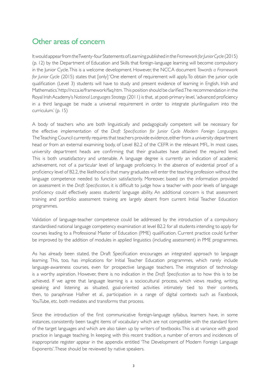### Other areas of concern

It would appear from the Twenty-four Statements of Learning published in the *Framework for Junior Cycle* (2015) (p. 12) by the Department of Education and Skills that foreign-language learning will become compulsory in the Junior Cycle. This is a welcome development. However, the NCCA document *Towards a Framework for Junior Cycle* (2015) states that [only] 'One element of requirement will apply. To obtain the junior cycle qualification (Level 3) students will have to study and present evidence of learning in English, Irish and Mathematics.' http://ncca.ie/framework/faq.htm. This position should be clarified. The recommendation in the Royal Irish Academy's *National Languages Strategy* (2011) is that, at post-primary level, 'advanced proficiency in a third language be made a universal requirement in order to integrate plurilingualism into the curriculum.' (p. 15)

A body of teachers who are both linguistically and pedagogically competent will be necessary for the effective implementation of the *Draft Specification for Junior Cycle Modern Foreign Languages*. The Teaching Council currently requires that teachers provide evidence, either from a university department head or from an external examining body, of Level B2.2 of the CEFR in the relevant MFL. In most cases, university department heads are confirming that their graduates have attained the required level. This is both unsatisfactory and untenable. A language degree is currently an indication of academic achievement, not of a particular level of language proficiency. In the absence of evidential proof of a proficiency level of B2.2, the likelihood is that many graduates will enter the teaching profession without the language competence needed to function satisfactorily. Moreover, based on the information provided on assessment in the *Draft Specification*, it is difficult to judge how a teacher with poor levels of language proficiency could effectively assess students' language ability. An additional concern is that assessment training and portfolio assessment training are largely absent from current Initial Teacher Education programmes.

Validation of language-teacher competence could be addressed by the introduction of a compulsory standardised national language competency examination at level B2.2 for all students intending to apply for courses leading to a Professional Master of Education (PME) qualification. Current practice could further be improved by the addition of modules in applied linguistics (including assessment) in PME programmes.

As has already been stated, the Draft Specification encourages an integrated approach to language learning. This, too, has implications for Initial Teacher Education programmes, which rarely include language-awareness courses, even for prospective language teachers. The integration of technology is a worthy aspiration. However, there is no indication in the *Draft Specification* as to how this is to be achieved. If we agree that language learning is a sociocultural process, which views reading, writing, speaking and listening as situated, goal-oriented activities intimately tied to their contexts, then, to paraphrase Hafner et al., participation in a range of digital contexts such as Facebook, YouTube, etc. both mediates and transforms that process.

Since the introduction of the first communicative foreign-language syllabus, learners have, in some instances, consistently been taught items of vocabulary which are not compatible with the standard form of the target languages and which are also taken up by writers of textbooks. This is at variance with good practice in language teaching. In keeping with this recent tradition, a number of errors and incidences of inappropriate register appear in the appendix entitled 'The Development of Modern Foreign Language Exponents'. These should be reviewed by native speakers.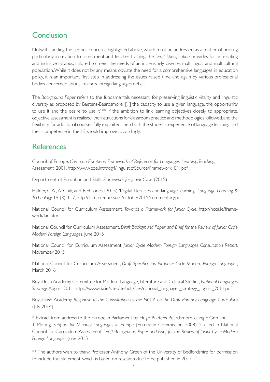### **Conclusion**

Notwithstanding the serious concerns highlighted above, which must be addressed as a matter of priority, particularly in relation to assessment and teacher training, the *Draft Specification* provides for an exciting and inclusive syllabus, tailored to meet the needs of an increasingly diverse, multilingual and multicultural population. While it does not by any means obviate the need for a comprehensive languages in education policy, it is an important first step in addressing the issues raised time and again by various professional bodies concerned about Ireland's foreign languages deficit.

The *Background Paper* refers to the fundamentals necessary for preserving linguistic vitality and linguistic diversity as proposed by Baetens-Beardsmore: '[...] the capacity to use a given language, the opportunity to use it and the desire to use it'.\*\* If the ambition to link learning objectives closely to appropriate, objective assessment is realised, the instructions for classroom practice and methodologies followed, and the flexibility for additional courses fully exploited, then both the students' experience of language learning and their competence in the L3 should improve accordingly.

#### References

Council of Europe, *Common European Framework of Reference for Languages: Learning, Teaching, Assessment,* 2001, http://www.coe.int/t/dg4/linguistic/Source/Framework\_EN.pdf

Department of Education and Skills, *Framework for Junior Cycle* (2015)

Hafner, C.A., A. Chik, and R.H. Jones (2015), 'Digital literacies and language learning', *Language Learning & Technology* 19 (3), 1–7, http://llt.msu.edu/issues/october2015/commentary.pdf

National Council for Curriculum Assessment, *Towards a Framework for Junior Cycle*, http://ncca.ie/framework/faq.htm

National Council for Curriculum Assessment, *Draft Background Paper and Brief for the Review of Junior Cycle Modern Foreign Languages*, June 2015

National Council for Curriculum Assessment, *Junior Cycle Modern Foreign Languages Consultation Report*, November 2015

National Council for Curriculum Assessment, *Draft Specification for Junior Cycle Modern Foreign Languages*, March 2016

Royal Irish Academy Committee for Modern Language, Literature and Cultural Studies, *National Languages Strategy*, August 2011 https://www.ria.ie/sites/default/files/national\_languages\_strategy\_august\_2011.pdf

Royal Irish Academy, *Response to the Consultation by the NCCA on the Draft Primary Language Curriculum* (July 2014)

\* Extract from address to the European Parliament by Hugo Baetens-Beardsmore, citing F. Grin and T. Moring, *Support for Minority Languages in Europe* (European Commission, 2008), 5, cited in National Council for Curriculum Assessment, *Draft Background Paper and Brief for the Review of Junior Cycle Modern Foreign Languages*, June 2015

\*\* The authors wish to thank Professor Anthony Green of the University of Bedfordshire for permission to include this statement, which is based on research due to be published in 2017